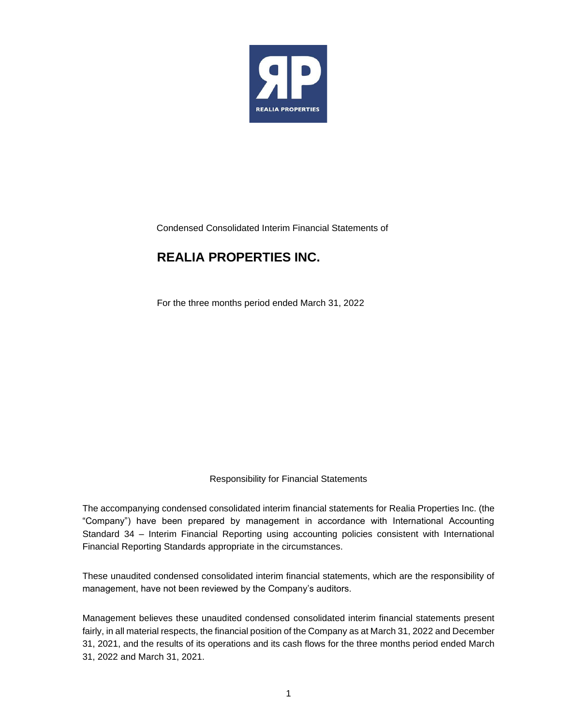

Condensed Consolidated Interim Financial Statements of

### **REALIA PROPERTIES INC.**

For the three months period ended March 31, 2022

Responsibility for Financial Statements

The accompanying condensed consolidated interim financial statements for Realia Properties Inc. (the "Company") have been prepared by management in accordance with International Accounting Standard 34 – Interim Financial Reporting using accounting policies consistent with International Financial Reporting Standards appropriate in the circumstances.

These unaudited condensed consolidated interim financial statements, which are the responsibility of management, have not been reviewed by the Company's auditors.

Management believes these unaudited condensed consolidated interim financial statements present fairly, in all material respects, the financial position of the Company as at March 31, 2022 and December 31, 2021, and the results of its operations and its cash flows for the three months period ended March 31, 2022 and March 31, 2021.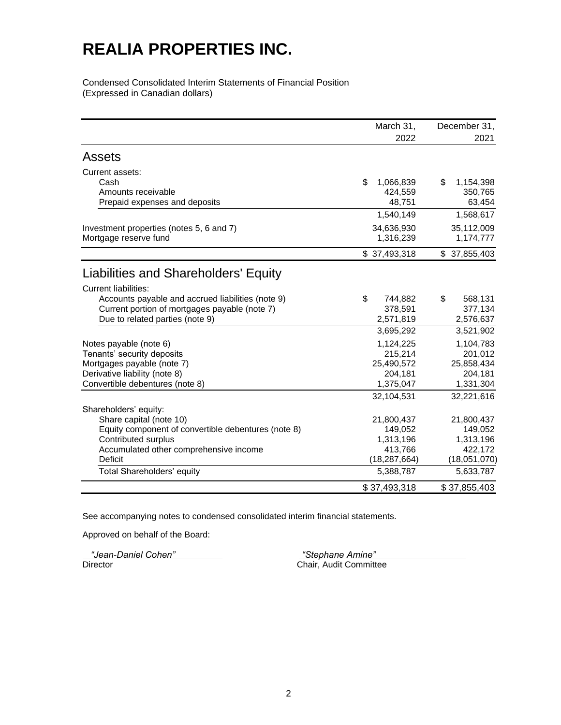Condensed Consolidated Interim Statements of Financial Position (Expressed in Canadian dollars)

|                                                                                                                                                                          | March 31,                                                               | December 31,                                                            |
|--------------------------------------------------------------------------------------------------------------------------------------------------------------------------|-------------------------------------------------------------------------|-------------------------------------------------------------------------|
|                                                                                                                                                                          | 2022                                                                    | 2021                                                                    |
| Assets                                                                                                                                                                   |                                                                         |                                                                         |
| Current assets:<br>Cash<br>Amounts receivable<br>Prepaid expenses and deposits                                                                                           | \$<br>1,066,839<br>424,559<br>48,751                                    | \$<br>1,154,398<br>350,765<br>63,454                                    |
|                                                                                                                                                                          | 1,540,149                                                               | 1,568,617                                                               |
| Investment properties (notes 5, 6 and 7)<br>Mortgage reserve fund                                                                                                        | 34,636,930<br>1,316,239                                                 | 35,112,009<br>1,174,777                                                 |
|                                                                                                                                                                          | \$37,493,318                                                            | \$37,855,403                                                            |
| Liabilities and Shareholders' Equity                                                                                                                                     |                                                                         |                                                                         |
| <b>Current liabilities:</b><br>Accounts payable and accrued liabilities (note 9)<br>Current portion of mortgages payable (note 7)<br>Due to related parties (note 9)     | \$<br>744,882<br>378,591<br>2,571,819                                   | \$<br>568,131<br>377,134<br>2,576,637                                   |
| Notes payable (note 6)<br>Tenants' security deposits<br>Mortgages payable (note 7)<br>Derivative liability (note 8)<br>Convertible debentures (note 8)                   | 3,695,292<br>1,124,225<br>215,214<br>25,490,572<br>204,181<br>1,375,047 | 3,521,902<br>1,104,783<br>201,012<br>25,858,434<br>204,181<br>1,331,304 |
| Shareholders' equity:<br>Share capital (note 10)<br>Equity component of convertible debentures (note 8)<br>Contributed surplus<br>Accumulated other comprehensive income | 32,104,531<br>21,800,437<br>149,052<br>1,313,196<br>413,766             | 32,221,616<br>21,800,437<br>149,052<br>1,313,196<br>422,172             |
| <b>Deficit</b><br>Total Shareholders' equity                                                                                                                             | (18, 287, 664)<br>5,388,787                                             | (18,051,070)<br>5,633,787                                               |
|                                                                                                                                                                          | \$37,493,318                                                            | \$37,855,403                                                            |

See accompanying notes to condensed consolidated interim financial statements.

Approved on behalf of the Board:

*"Jean-Daniel Cohen" "Stephane Amine"*

Chair, Audit Committee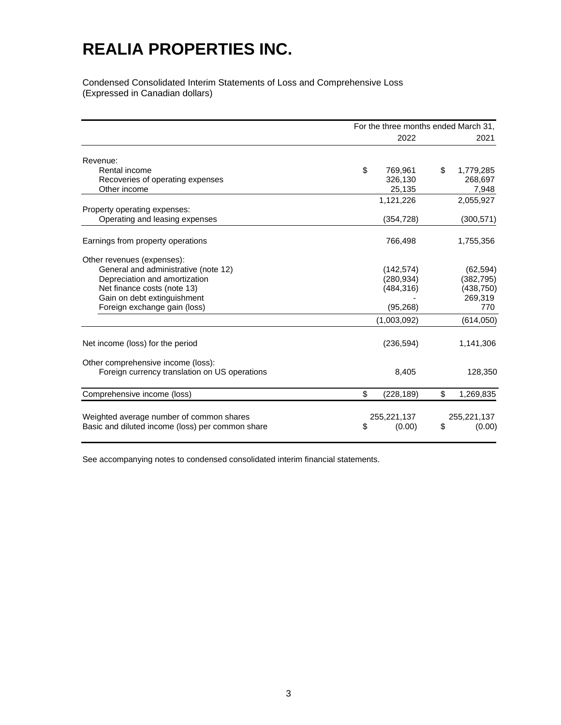Condensed Consolidated Interim Statements of Loss and Comprehensive Loss (Expressed in Canadian dollars)

|                                                  | For the three months ended March 31, |    |             |
|--------------------------------------------------|--------------------------------------|----|-------------|
|                                                  | 2022                                 |    | 2021        |
| Revenue:                                         |                                      |    |             |
| Rental income                                    | \$<br>769.961                        | \$ | 1,779,285   |
| Recoveries of operating expenses                 | 326.130                              |    | 268,697     |
| Other income                                     | 25,135                               |    | 7,948       |
|                                                  | 1,121,226                            |    | 2,055,927   |
| Property operating expenses:                     |                                      |    |             |
| Operating and leasing expenses                   | (354, 728)                           |    | (300, 571)  |
| Earnings from property operations                | 766,498                              |    | 1,755,356   |
| Other revenues (expenses):                       |                                      |    |             |
| General and administrative (note 12)             | (142, 574)                           |    | (62, 594)   |
| Depreciation and amortization                    | (280, 934)                           |    | (382, 795)  |
| Net finance costs (note 13)                      | (484, 316)                           |    | (438, 750)  |
| Gain on debt extinguishment                      |                                      |    | 269,319     |
| Foreign exchange gain (loss)                     | (95, 268)                            |    | 770         |
|                                                  | (1,003,092)                          |    | (614, 050)  |
| Net income (loss) for the period                 | (236, 594)                           |    | 1,141,306   |
| Other comprehensive income (loss):               |                                      |    |             |
| Foreign currency translation on US operations    | 8,405                                |    | 128,350     |
| Comprehensive income (loss)                      | \$<br>(228, 189)                     | \$ | 1,269,835   |
| Weighted average number of common shares         | 255,221,137                          |    | 255,221,137 |
| Basic and diluted income (loss) per common share | \$<br>(0.00)                         | \$ | (0.00)      |

See accompanying notes to condensed consolidated interim financial statements.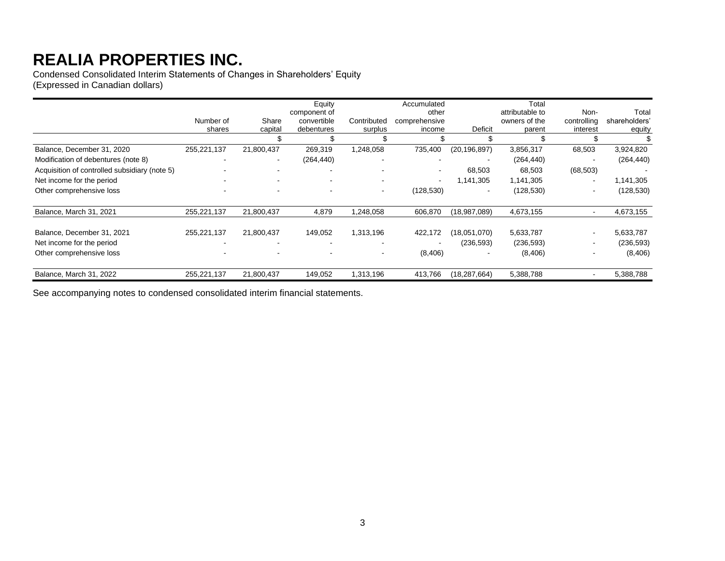Condensed Consolidated Interim Statements of Changes in Shareholders' Equity (Expressed in Canadian dollars)

|                                               | Number of<br>shares | Share<br>capital | Equity<br>component of<br>convertible<br>debentures | Contributed<br>surplus | Accumulated<br>other<br>comprehensive<br>income | Deficit                  | Total<br>attributable to<br>owners of the<br>parent | Non-<br>controlling<br>interest | Total<br>shareholders'<br>equity |
|-----------------------------------------------|---------------------|------------------|-----------------------------------------------------|------------------------|-------------------------------------------------|--------------------------|-----------------------------------------------------|---------------------------------|----------------------------------|
|                                               |                     |                  |                                                     |                        |                                                 |                          |                                                     |                                 |                                  |
| Balance, December 31, 2020                    | 255,221,137         | 21,800,437       | 269,319                                             | 1,248,058              | 735,400                                         | (20, 196, 897)           | 3,856,317                                           | 68,503                          | 3,924,820                        |
| Modification of debentures (note 8)           |                     | $\sim$           | (264, 440)                                          |                        |                                                 |                          | (264, 440)                                          | $\overline{\phantom{a}}$        | (264, 440)                       |
| Acquisition of controlled subsidiary (note 5) |                     | $\sim$           |                                                     |                        | -                                               | 68,503                   | 68,503                                              | (68, 503)                       |                                  |
| Net income for the period                     |                     | $\,$ $\,$        | ۰                                                   |                        | $\overline{\phantom{0}}$                        | 1,141,305                | 1,141,305                                           | $\overline{\phantom{a}}$        | 1,141,305                        |
| Other comprehensive loss                      |                     |                  |                                                     |                        | (128, 530)                                      | $\overline{\phantom{0}}$ | (128, 530)                                          | $\overline{\phantom{a}}$        | (128, 530)                       |
| Balance, March 31, 2021                       | 255,221,137         | 21,800,437       | 4,879                                               | 1,248,058              | 606,870                                         | (18,987,089)             | 4,673,155                                           | $\overline{\phantom{a}}$        | 4,673,155                        |
| Balance, December 31, 2021                    | 255,221,137         | 21,800,437       | 149,052                                             | 1,313,196              | 422,172                                         | (18,051,070)             | 5,633,787                                           | $\overline{\phantom{a}}$        | 5,633,787                        |
| Net income for the period                     |                     |                  |                                                     |                        |                                                 | (236, 593)               | (236, 593)                                          | -                               | (236, 593)                       |
| Other comprehensive loss                      |                     |                  |                                                     |                        | (8,406)                                         |                          | (8, 406)                                            | $\overline{\phantom{a}}$        | (8,406)                          |
| Balance, March 31, 2022                       | 255,221,137         | 21,800,437       | 149,052                                             | 1,313,196              | 413,766                                         | (18,287,664)             | 5,388,788                                           |                                 | 5,388,788                        |

See accompanying notes to condensed consolidated interim financial statements.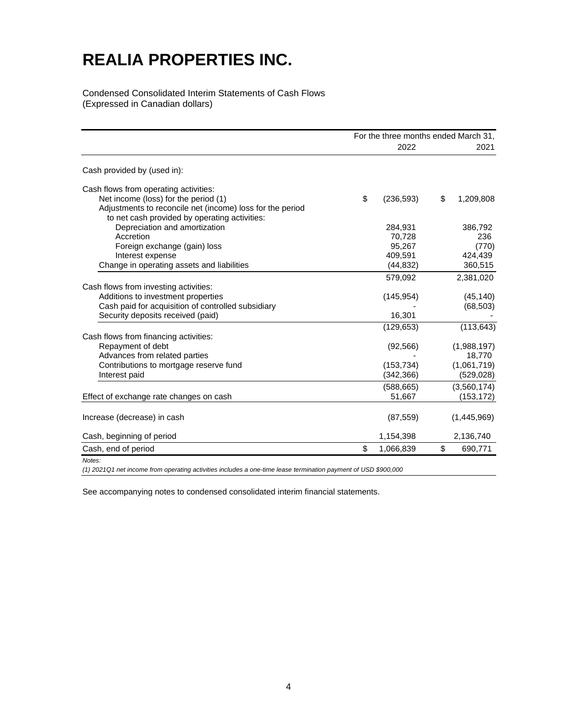Condensed Consolidated Interim Statements of Cash Flows (Expressed in Canadian dollars)

|                                                                                                                                                                        | For the three months ended March 31, |                                      |                                                    |
|------------------------------------------------------------------------------------------------------------------------------------------------------------------------|--------------------------------------|--------------------------------------|----------------------------------------------------|
|                                                                                                                                                                        |                                      | 2022                                 | 2021                                               |
| Cash provided by (used in):                                                                                                                                            |                                      |                                      |                                                    |
| Cash flows from operating activities:<br>Net income (loss) for the period (1)<br>Adjustments to reconcile net (income) loss for the period                             | \$                                   | (236, 593)                           | \$<br>1,209,808                                    |
| to net cash provided by operating activities:<br>Depreciation and amortization<br>Accretion                                                                            |                                      | 284.931<br>70.728                    | 386,792<br>236                                     |
| Foreign exchange (gain) loss<br>Interest expense<br>Change in operating assets and liabilities                                                                         |                                      | 95.267<br>409,591<br>(44, 832)       | (770)<br>424,439<br>360,515                        |
| Cash flows from investing activities:<br>Additions to investment properties<br>Cash paid for acquisition of controlled subsidiary<br>Security deposits received (paid) |                                      | 579.092<br>(145, 954)<br>16,301      | 2,381,020<br>(45, 140)<br>(68, 503)                |
| Cash flows from financing activities:                                                                                                                                  |                                      | (129, 653)                           | (113, 643)                                         |
| Repayment of debt<br>Advances from related parties<br>Contributions to mortgage reserve fund<br>Interest paid                                                          |                                      | (92, 566)<br>(153, 734)<br>(342,366) | (1,988,197)<br>18,770<br>(1,061,719)<br>(529, 028) |
| Effect of exchange rate changes on cash                                                                                                                                |                                      | (588, 665)<br>51,667                 | (3,560,174)<br>(153, 172)                          |
| Increase (decrease) in cash                                                                                                                                            |                                      | (87, 559)                            | (1,445,969)                                        |
| Cash, beginning of period                                                                                                                                              |                                      | 1,154,398                            | 2,136,740                                          |
| Cash, end of period                                                                                                                                                    | \$                                   | 1,066,839                            | \$<br>690,771                                      |
| Notes:                                                                                                                                                                 |                                      |                                      |                                                    |

*(1) 2021Q1 net income from operating activities includes a one-time lease termination payment of USD \$900,000*

See accompanying notes to condensed consolidated interim financial statements.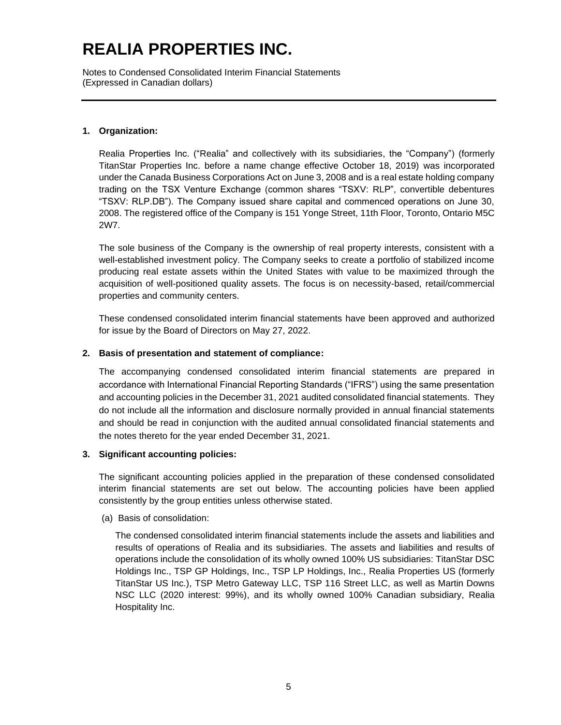Notes to Condensed Consolidated Interim Financial Statements (Expressed in Canadian dollars)

### **1. Organization:**

Realia Properties Inc. ("Realia" and collectively with its subsidiaries, the "Company") (formerly TitanStar Properties Inc. before a name change effective October 18, 2019) was incorporated under the Canada Business Corporations Act on June 3, 2008 and is a real estate holding company trading on the TSX Venture Exchange (common shares "TSXV: RLP", convertible debentures "TSXV: RLP.DB"). The Company issued share capital and commenced operations on June 30, 2008. The registered office of the Company is 151 Yonge Street, 11th Floor, Toronto, Ontario M5C 2W7.

The sole business of the Company is the ownership of real property interests, consistent with a well-established investment policy. The Company seeks to create a portfolio of stabilized income producing real estate assets within the United States with value to be maximized through the acquisition of well-positioned quality assets. The focus is on necessity-based, retail/commercial properties and community centers.

These condensed consolidated interim financial statements have been approved and authorized for issue by the Board of Directors on May 27, 2022.

### **2. Basis of presentation and statement of compliance:**

The accompanying condensed consolidated interim financial statements are prepared in accordance with International Financial Reporting Standards ("IFRS") using the same presentation and accounting policies in the December 31, 2021 audited consolidated financial statements. They do not include all the information and disclosure normally provided in annual financial statements and should be read in conjunction with the audited annual consolidated financial statements and the notes thereto for the year ended December 31, 2021.

#### **3. Significant accounting policies:**

The significant accounting policies applied in the preparation of these condensed consolidated interim financial statements are set out below. The accounting policies have been applied consistently by the group entities unless otherwise stated.

#### (a) Basis of consolidation:

The condensed consolidated interim financial statements include the assets and liabilities and results of operations of Realia and its subsidiaries. The assets and liabilities and results of operations include the consolidation of its wholly owned 100% US subsidiaries: TitanStar DSC Holdings Inc., TSP GP Holdings, Inc., TSP LP Holdings, Inc., Realia Properties US (formerly TitanStar US Inc.), TSP Metro Gateway LLC, TSP 116 Street LLC, as well as Martin Downs NSC LLC (2020 interest: 99%), and its wholly owned 100% Canadian subsidiary, Realia Hospitality Inc.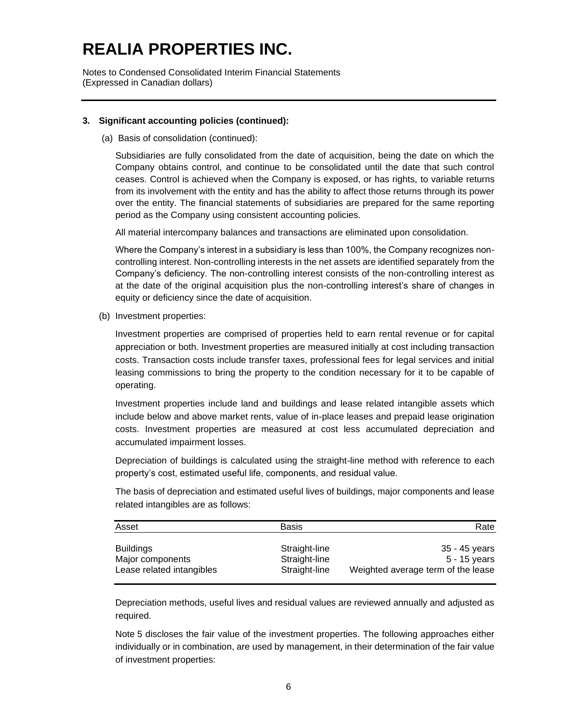Notes to Condensed Consolidated Interim Financial Statements (Expressed in Canadian dollars)

#### **3. Significant accounting policies (continued):**

(a) Basis of consolidation (continued):

Subsidiaries are fully consolidated from the date of acquisition, being the date on which the Company obtains control, and continue to be consolidated until the date that such control ceases. Control is achieved when the Company is exposed, or has rights, to variable returns from its involvement with the entity and has the ability to affect those returns through its power over the entity. The financial statements of subsidiaries are prepared for the same reporting period as the Company using consistent accounting policies.

All material intercompany balances and transactions are eliminated upon consolidation.

Where the Company's interest in a subsidiary is less than 100%, the Company recognizes noncontrolling interest. Non-controlling interests in the net assets are identified separately from the Company's deficiency. The non-controlling interest consists of the non-controlling interest as at the date of the original acquisition plus the non-controlling interest's share of changes in equity or deficiency since the date of acquisition.

(b) Investment properties:

Investment properties are comprised of properties held to earn rental revenue or for capital appreciation or both. Investment properties are measured initially at cost including transaction costs. Transaction costs include transfer taxes, professional fees for legal services and initial leasing commissions to bring the property to the condition necessary for it to be capable of operating.

Investment properties include land and buildings and lease related intangible assets which include below and above market rents, value of in-place leases and prepaid lease origination costs. Investment properties are measured at cost less accumulated depreciation and accumulated impairment losses.

Depreciation of buildings is calculated using the straight-line method with reference to each property's cost, estimated useful life, components, and residual value.

The basis of depreciation and estimated useful lives of buildings, major components and lease related intangibles are as follows:

| Asset                     | <b>Basis</b>  | Rate                               |
|---------------------------|---------------|------------------------------------|
| <b>Buildings</b>          | Straight-line | 35 - 45 vears                      |
| Major components          | Straight-line | 5 - 15 years                       |
| Lease related intangibles | Straight-line | Weighted average term of the lease |

Depreciation methods, useful lives and residual values are reviewed annually and adjusted as required.

Note 5 discloses the fair value of the investment properties. The following approaches either individually or in combination, are used by management, in their determination of the fair value of investment properties: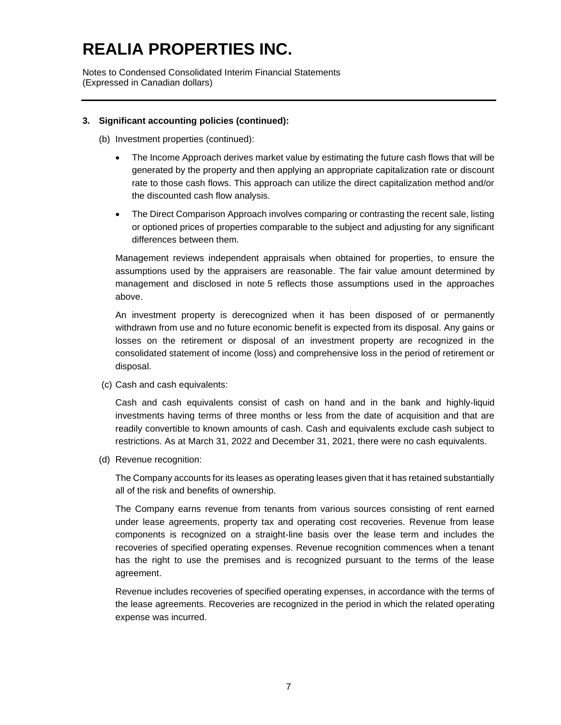Notes to Condensed Consolidated Interim Financial Statements (Expressed in Canadian dollars)

### **3. Significant accounting policies (continued):**

(b) Investment properties (continued):

- The Income Approach derives market value by estimating the future cash flows that will be generated by the property and then applying an appropriate capitalization rate or discount rate to those cash flows. This approach can utilize the direct capitalization method and/or the discounted cash flow analysis.
- The Direct Comparison Approach involves comparing or contrasting the recent sale, listing or optioned prices of properties comparable to the subject and adjusting for any significant differences between them.

Management reviews independent appraisals when obtained for properties, to ensure the assumptions used by the appraisers are reasonable. The fair value amount determined by management and disclosed in note 5 reflects those assumptions used in the approaches above.

An investment property is derecognized when it has been disposed of or permanently withdrawn from use and no future economic benefit is expected from its disposal. Any gains or losses on the retirement or disposal of an investment property are recognized in the consolidated statement of income (loss) and comprehensive loss in the period of retirement or disposal.

(c) Cash and cash equivalents:

Cash and cash equivalents consist of cash on hand and in the bank and highly-liquid investments having terms of three months or less from the date of acquisition and that are readily convertible to known amounts of cash. Cash and equivalents exclude cash subject to restrictions. As at March 31, 2022 and December 31, 2021, there were no cash equivalents.

(d) Revenue recognition:

The Company accounts for its leases as operating leases given that it has retained substantially all of the risk and benefits of ownership.

The Company earns revenue from tenants from various sources consisting of rent earned under lease agreements, property tax and operating cost recoveries. Revenue from lease components is recognized on a straight-line basis over the lease term and includes the recoveries of specified operating expenses. Revenue recognition commences when a tenant has the right to use the premises and is recognized pursuant to the terms of the lease agreement.

Revenue includes recoveries of specified operating expenses, in accordance with the terms of the lease agreements. Recoveries are recognized in the period in which the related operating expense was incurred.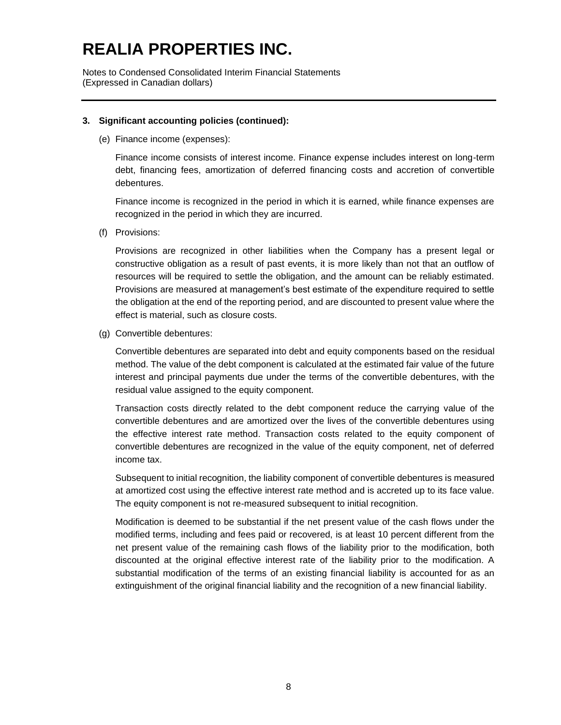Notes to Condensed Consolidated Interim Financial Statements (Expressed in Canadian dollars)

#### **3. Significant accounting policies (continued):**

(e) Finance income (expenses):

Finance income consists of interest income. Finance expense includes interest on long-term debt, financing fees, amortization of deferred financing costs and accretion of convertible debentures.

Finance income is recognized in the period in which it is earned, while finance expenses are recognized in the period in which they are incurred.

(f) Provisions:

Provisions are recognized in other liabilities when the Company has a present legal or constructive obligation as a result of past events, it is more likely than not that an outflow of resources will be required to settle the obligation, and the amount can be reliably estimated. Provisions are measured at management's best estimate of the expenditure required to settle the obligation at the end of the reporting period, and are discounted to present value where the effect is material, such as closure costs.

(g) Convertible debentures:

Convertible debentures are separated into debt and equity components based on the residual method. The value of the debt component is calculated at the estimated fair value of the future interest and principal payments due under the terms of the convertible debentures, with the residual value assigned to the equity component.

Transaction costs directly related to the debt component reduce the carrying value of the convertible debentures and are amortized over the lives of the convertible debentures using the effective interest rate method. Transaction costs related to the equity component of convertible debentures are recognized in the value of the equity component, net of deferred income tax.

Subsequent to initial recognition, the liability component of convertible debentures is measured at amortized cost using the effective interest rate method and is accreted up to its face value. The equity component is not re-measured subsequent to initial recognition.

Modification is deemed to be substantial if the net present value of the cash flows under the modified terms, including and fees paid or recovered, is at least 10 percent different from the net present value of the remaining cash flows of the liability prior to the modification, both discounted at the original effective interest rate of the liability prior to the modification. A substantial modification of the terms of an existing financial liability is accounted for as an extinguishment of the original financial liability and the recognition of a new financial liability.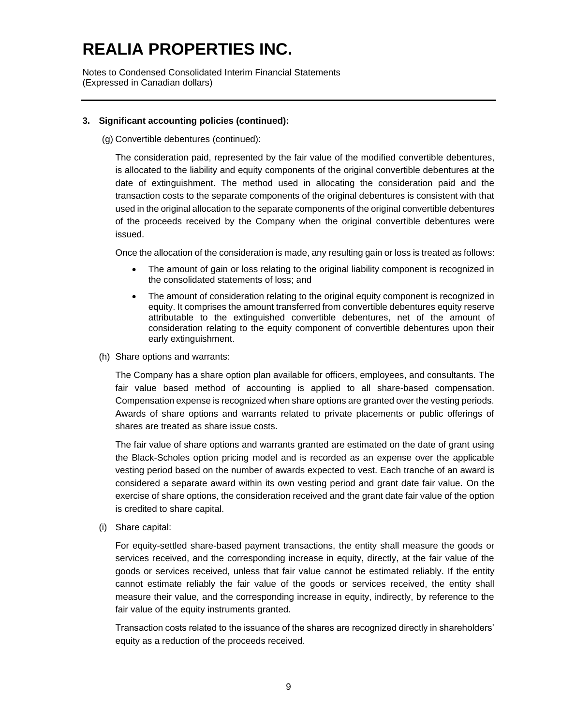Notes to Condensed Consolidated Interim Financial Statements (Expressed in Canadian dollars)

### **3. Significant accounting policies (continued):**

(g) Convertible debentures (continued):

The consideration paid, represented by the fair value of the modified convertible debentures, is allocated to the liability and equity components of the original convertible debentures at the date of extinguishment. The method used in allocating the consideration paid and the transaction costs to the separate components of the original debentures is consistent with that used in the original allocation to the separate components of the original convertible debentures of the proceeds received by the Company when the original convertible debentures were issued.

Once the allocation of the consideration is made, any resulting gain or loss is treated as follows:

- The amount of gain or loss relating to the original liability component is recognized in the consolidated statements of loss; and
- The amount of consideration relating to the original equity component is recognized in equity. It comprises the amount transferred from convertible debentures equity reserve attributable to the extinguished convertible debentures, net of the amount of consideration relating to the equity component of convertible debentures upon their early extinguishment.
- (h) Share options and warrants:

The Company has a share option plan available for officers, employees, and consultants. The fair value based method of accounting is applied to all share-based compensation. Compensation expense is recognized when share options are granted over the vesting periods. Awards of share options and warrants related to private placements or public offerings of shares are treated as share issue costs.

The fair value of share options and warrants granted are estimated on the date of grant using the Black-Scholes option pricing model and is recorded as an expense over the applicable vesting period based on the number of awards expected to vest. Each tranche of an award is considered a separate award within its own vesting period and grant date fair value. On the exercise of share options, the consideration received and the grant date fair value of the option is credited to share capital.

(i) Share capital:

For equity-settled share-based payment transactions, the entity shall measure the goods or services received, and the corresponding increase in equity, directly, at the fair value of the goods or services received, unless that fair value cannot be estimated reliably. If the entity cannot estimate reliably the fair value of the goods or services received, the entity shall measure their value, and the corresponding increase in equity, indirectly, by reference to the fair value of the equity instruments granted.

Transaction costs related to the issuance of the shares are recognized directly in shareholders' equity as a reduction of the proceeds received.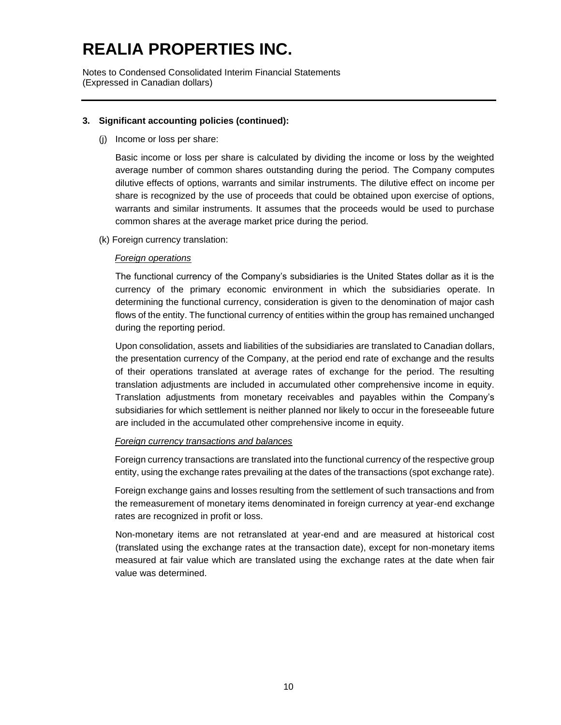Notes to Condensed Consolidated Interim Financial Statements (Expressed in Canadian dollars)

### **3. Significant accounting policies (continued):**

(j) Income or loss per share:

Basic income or loss per share is calculated by dividing the income or loss by the weighted average number of common shares outstanding during the period. The Company computes dilutive effects of options, warrants and similar instruments. The dilutive effect on income per share is recognized by the use of proceeds that could be obtained upon exercise of options, warrants and similar instruments. It assumes that the proceeds would be used to purchase common shares at the average market price during the period.

(k) Foreign currency translation:

### *Foreign operations*

The functional currency of the Company's subsidiaries is the United States dollar as it is the currency of the primary economic environment in which the subsidiaries operate. In determining the functional currency, consideration is given to the denomination of major cash flows of the entity. The functional currency of entities within the group has remained unchanged during the reporting period.

Upon consolidation, assets and liabilities of the subsidiaries are translated to Canadian dollars, the presentation currency of the Company, at the period end rate of exchange and the results of their operations translated at average rates of exchange for the period. The resulting translation adjustments are included in accumulated other comprehensive income in equity. Translation adjustments from monetary receivables and payables within the Company's subsidiaries for which settlement is neither planned nor likely to occur in the foreseeable future are included in the accumulated other comprehensive income in equity.

### *Foreign currency transactions and balances*

Foreign currency transactions are translated into the functional currency of the respective group entity, using the exchange rates prevailing at the dates of the transactions (spot exchange rate).

Foreign exchange gains and losses resulting from the settlement of such transactions and from the remeasurement of monetary items denominated in foreign currency at year-end exchange rates are recognized in profit or loss.

Non-monetary items are not retranslated at year-end and are measured at historical cost (translated using the exchange rates at the transaction date), except for non-monetary items measured at fair value which are translated using the exchange rates at the date when fair value was determined.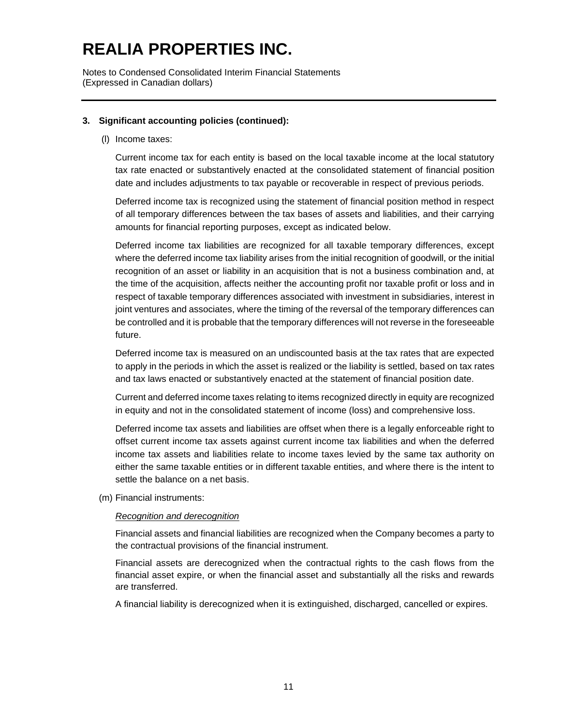Notes to Condensed Consolidated Interim Financial Statements (Expressed in Canadian dollars)

### **3. Significant accounting policies (continued):**

(l) Income taxes:

Current income tax for each entity is based on the local taxable income at the local statutory tax rate enacted or substantively enacted at the consolidated statement of financial position date and includes adjustments to tax payable or recoverable in respect of previous periods.

Deferred income tax is recognized using the statement of financial position method in respect of all temporary differences between the tax bases of assets and liabilities, and their carrying amounts for financial reporting purposes, except as indicated below.

Deferred income tax liabilities are recognized for all taxable temporary differences, except where the deferred income tax liability arises from the initial recognition of goodwill, or the initial recognition of an asset or liability in an acquisition that is not a business combination and, at the time of the acquisition, affects neither the accounting profit nor taxable profit or loss and in respect of taxable temporary differences associated with investment in subsidiaries, interest in joint ventures and associates, where the timing of the reversal of the temporary differences can be controlled and it is probable that the temporary differences will not reverse in the foreseeable future.

Deferred income tax is measured on an undiscounted basis at the tax rates that are expected to apply in the periods in which the asset is realized or the liability is settled, based on tax rates and tax laws enacted or substantively enacted at the statement of financial position date.

Current and deferred income taxes relating to items recognized directly in equity are recognized in equity and not in the consolidated statement of income (loss) and comprehensive loss.

Deferred income tax assets and liabilities are offset when there is a legally enforceable right to offset current income tax assets against current income tax liabilities and when the deferred income tax assets and liabilities relate to income taxes levied by the same tax authority on either the same taxable entities or in different taxable entities, and where there is the intent to settle the balance on a net basis.

(m) Financial instruments:

#### *Recognition and derecognition*

Financial assets and financial liabilities are recognized when the Company becomes a party to the contractual provisions of the financial instrument.

Financial assets are derecognized when the contractual rights to the cash flows from the financial asset expire, or when the financial asset and substantially all the risks and rewards are transferred.

A financial liability is derecognized when it is extinguished, discharged, cancelled or expires.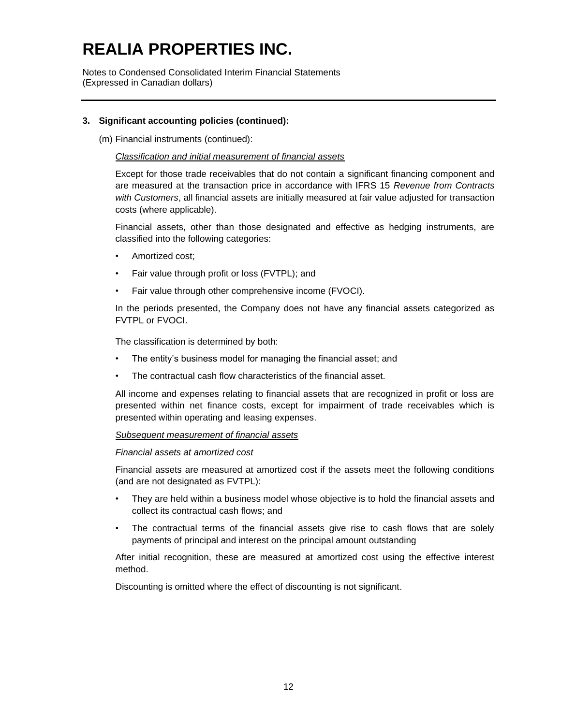Notes to Condensed Consolidated Interim Financial Statements (Expressed in Canadian dollars)

### **3. Significant accounting policies (continued):**

(m) Financial instruments (continued):

#### *Classification and initial measurement of financial assets*

Except for those trade receivables that do not contain a significant financing component and are measured at the transaction price in accordance with IFRS 15 *Revenue from Contracts with Customers*, all financial assets are initially measured at fair value adjusted for transaction costs (where applicable).

Financial assets, other than those designated and effective as hedging instruments, are classified into the following categories:

- Amortized cost;
- Fair value through profit or loss (FVTPL); and
- Fair value through other comprehensive income (FVOCI).

In the periods presented, the Company does not have any financial assets categorized as FVTPL or FVOCI.

The classification is determined by both:

- The entity's business model for managing the financial asset; and
- The contractual cash flow characteristics of the financial asset.

All income and expenses relating to financial assets that are recognized in profit or loss are presented within net finance costs, except for impairment of trade receivables which is presented within operating and leasing expenses.

#### *Subsequent measurement of financial assets*

#### *Financial assets at amortized cost*

Financial assets are measured at amortized cost if the assets meet the following conditions (and are not designated as FVTPL):

- They are held within a business model whose objective is to hold the financial assets and collect its contractual cash flows; and
- The contractual terms of the financial assets give rise to cash flows that are solely payments of principal and interest on the principal amount outstanding

After initial recognition, these are measured at amortized cost using the effective interest method.

Discounting is omitted where the effect of discounting is not significant.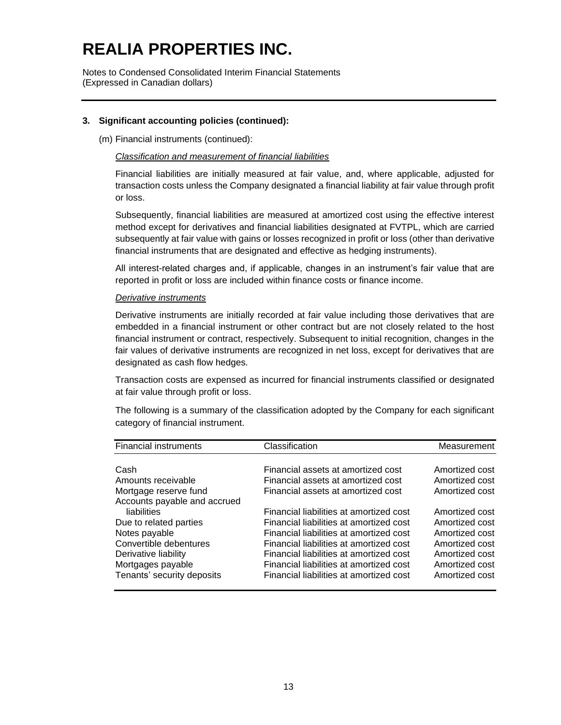Notes to Condensed Consolidated Interim Financial Statements (Expressed in Canadian dollars)

### **3. Significant accounting policies (continued):**

(m) Financial instruments (continued):

#### *Classification and measurement of financial liabilities*

Financial liabilities are initially measured at fair value, and, where applicable, adjusted for transaction costs unless the Company designated a financial liability at fair value through profit or loss.

Subsequently, financial liabilities are measured at amortized cost using the effective interest method except for derivatives and financial liabilities designated at FVTPL, which are carried subsequently at fair value with gains or losses recognized in profit or loss (other than derivative financial instruments that are designated and effective as hedging instruments).

All interest-related charges and, if applicable, changes in an instrument's fair value that are reported in profit or loss are included within finance costs or finance income.

#### *Derivative instruments*

Derivative instruments are initially recorded at fair value including those derivatives that are embedded in a financial instrument or other contract but are not closely related to the host financial instrument or contract, respectively. Subsequent to initial recognition, changes in the fair values of derivative instruments are recognized in net loss, except for derivatives that are designated as cash flow hedges.

Transaction costs are expensed as incurred for financial instruments classified or designated at fair value through profit or loss.

The following is a summary of the classification adopted by the Company for each significant category of financial instrument.

| <b>Financial instruments</b> | Classification                          | Measurement    |
|------------------------------|-----------------------------------------|----------------|
|                              |                                         |                |
| Cash                         | Financial assets at amortized cost      | Amortized cost |
| Amounts receivable           | Financial assets at amortized cost      | Amortized cost |
| Mortgage reserve fund        | Financial assets at amortized cost      | Amortized cost |
| Accounts payable and accrued |                                         |                |
| liabilities                  | Financial liabilities at amortized cost | Amortized cost |
| Due to related parties       | Financial liabilities at amortized cost | Amortized cost |
| Notes payable                | Financial liabilities at amortized cost | Amortized cost |
| Convertible debentures       | Financial liabilities at amortized cost | Amortized cost |
| Derivative liability         | Financial liabilities at amortized cost | Amortized cost |
| Mortgages payable            | Financial liabilities at amortized cost | Amortized cost |
| Tenants' security deposits   | Financial liabilities at amortized cost | Amortized cost |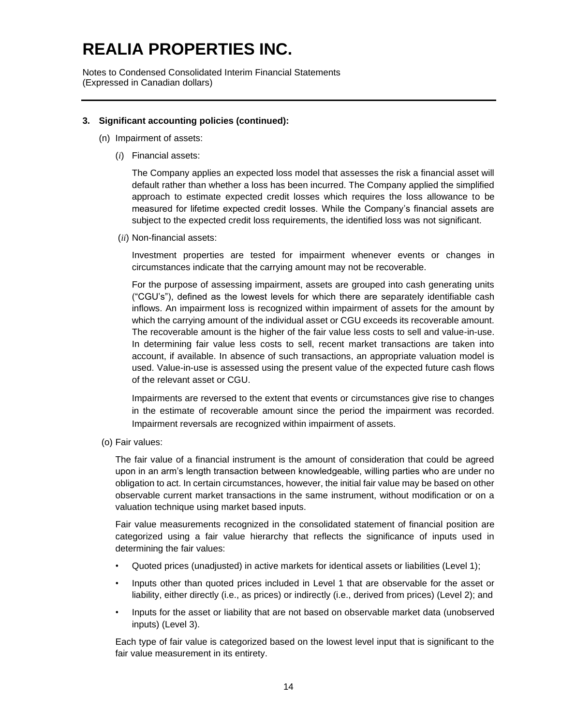Notes to Condensed Consolidated Interim Financial Statements (Expressed in Canadian dollars)

### **3. Significant accounting policies (continued):**

- (n) Impairment of assets:
	- (*i*) Financial assets:

The Company applies an expected loss model that assesses the risk a financial asset will default rather than whether a loss has been incurred. The Company applied the simplified approach to estimate expected credit losses which requires the loss allowance to be measured for lifetime expected credit losses. While the Company's financial assets are subject to the expected credit loss requirements, the identified loss was not significant.

(*ii*) Non-financial assets:

Investment properties are tested for impairment whenever events or changes in circumstances indicate that the carrying amount may not be recoverable.

For the purpose of assessing impairment, assets are grouped into cash generating units ("CGU's"), defined as the lowest levels for which there are separately identifiable cash inflows. An impairment loss is recognized within impairment of assets for the amount by which the carrying amount of the individual asset or CGU exceeds its recoverable amount. The recoverable amount is the higher of the fair value less costs to sell and value-in-use. In determining fair value less costs to sell, recent market transactions are taken into account, if available. In absence of such transactions, an appropriate valuation model is used. Value-in-use is assessed using the present value of the expected future cash flows of the relevant asset or CGU.

Impairments are reversed to the extent that events or circumstances give rise to changes in the estimate of recoverable amount since the period the impairment was recorded. Impairment reversals are recognized within impairment of assets.

(o) Fair values:

The fair value of a financial instrument is the amount of consideration that could be agreed upon in an arm's length transaction between knowledgeable, willing parties who are under no obligation to act. In certain circumstances, however, the initial fair value may be based on other observable current market transactions in the same instrument, without modification or on a valuation technique using market based inputs.

Fair value measurements recognized in the consolidated statement of financial position are categorized using a fair value hierarchy that reflects the significance of inputs used in determining the fair values:

- Quoted prices (unadjusted) in active markets for identical assets or liabilities (Level 1);
- Inputs other than quoted prices included in Level 1 that are observable for the asset or liability, either directly (i.e., as prices) or indirectly (i.e., derived from prices) (Level 2); and
- Inputs for the asset or liability that are not based on observable market data (unobserved inputs) (Level 3).

Each type of fair value is categorized based on the lowest level input that is significant to the fair value measurement in its entirety.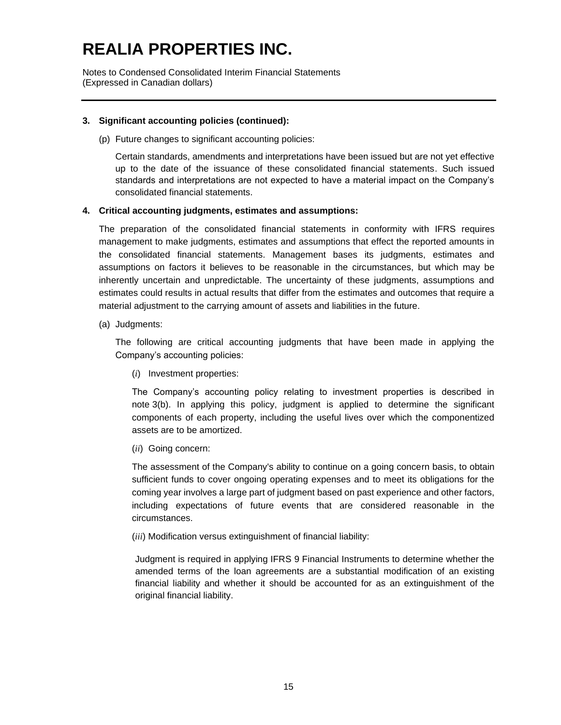Notes to Condensed Consolidated Interim Financial Statements (Expressed in Canadian dollars)

### **3. Significant accounting policies (continued):**

(p) Future changes to significant accounting policies:

Certain standards, amendments and interpretations have been issued but are not yet effective up to the date of the issuance of these consolidated financial statements. Such issued standards and interpretations are not expected to have a material impact on the Company's consolidated financial statements.

### **4. Critical accounting judgments, estimates and assumptions:**

The preparation of the consolidated financial statements in conformity with IFRS requires management to make judgments, estimates and assumptions that effect the reported amounts in the consolidated financial statements. Management bases its judgments, estimates and assumptions on factors it believes to be reasonable in the circumstances, but which may be inherently uncertain and unpredictable. The uncertainty of these judgments, assumptions and estimates could results in actual results that differ from the estimates and outcomes that require a material adjustment to the carrying amount of assets and liabilities in the future.

(a) Judgments:

The following are critical accounting judgments that have been made in applying the Company's accounting policies:

(*i*) Investment properties:

The Company's accounting policy relating to investment properties is described in note 3(b). In applying this policy, judgment is applied to determine the significant components of each property, including the useful lives over which the componentized assets are to be amortized.

(*ii*) Going concern:

The assessment of the Company's ability to continue on a going concern basis, to obtain sufficient funds to cover ongoing operating expenses and to meet its obligations for the coming year involves a large part of judgment based on past experience and other factors, including expectations of future events that are considered reasonable in the circumstances.

(*iii*) Modification versus extinguishment of financial liability:

Judgment is required in applying IFRS 9 Financial Instruments to determine whether the amended terms of the loan agreements are a substantial modification of an existing financial liability and whether it should be accounted for as an extinguishment of the original financial liability.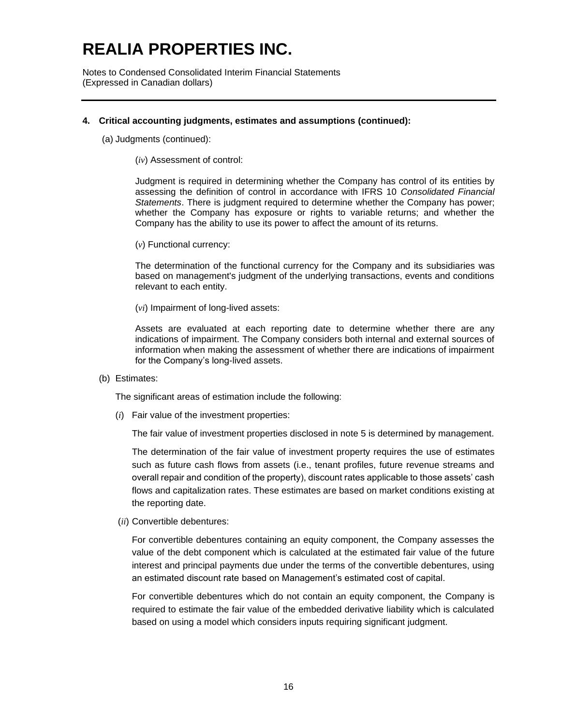Notes to Condensed Consolidated Interim Financial Statements (Expressed in Canadian dollars)

#### **4. Critical accounting judgments, estimates and assumptions (continued):**

(a) Judgments (continued):

(*iv*) Assessment of control:

Judgment is required in determining whether the Company has control of its entities by assessing the definition of control in accordance with IFRS 10 *Consolidated Financial Statements*. There is judgment required to determine whether the Company has power; whether the Company has exposure or rights to variable returns; and whether the Company has the ability to use its power to affect the amount of its returns.

(*v*) Functional currency:

The determination of the functional currency for the Company and its subsidiaries was based on management's judgment of the underlying transactions, events and conditions relevant to each entity.

(*vi*) Impairment of long-lived assets:

Assets are evaluated at each reporting date to determine whether there are any indications of impairment. The Company considers both internal and external sources of information when making the assessment of whether there are indications of impairment for the Company's long-lived assets.

(b) Estimates:

The significant areas of estimation include the following:

(*i*) Fair value of the investment properties:

The fair value of investment properties disclosed in note 5 is determined by management.

The determination of the fair value of investment property requires the use of estimates such as future cash flows from assets (i.e., tenant profiles, future revenue streams and overall repair and condition of the property), discount rates applicable to those assets' cash flows and capitalization rates. These estimates are based on market conditions existing at the reporting date.

(*ii*) Convertible debentures:

For convertible debentures containing an equity component, the Company assesses the value of the debt component which is calculated at the estimated fair value of the future interest and principal payments due under the terms of the convertible debentures, using an estimated discount rate based on Management's estimated cost of capital.

For convertible debentures which do not contain an equity component, the Company is required to estimate the fair value of the embedded derivative liability which is calculated based on using a model which considers inputs requiring significant judgment.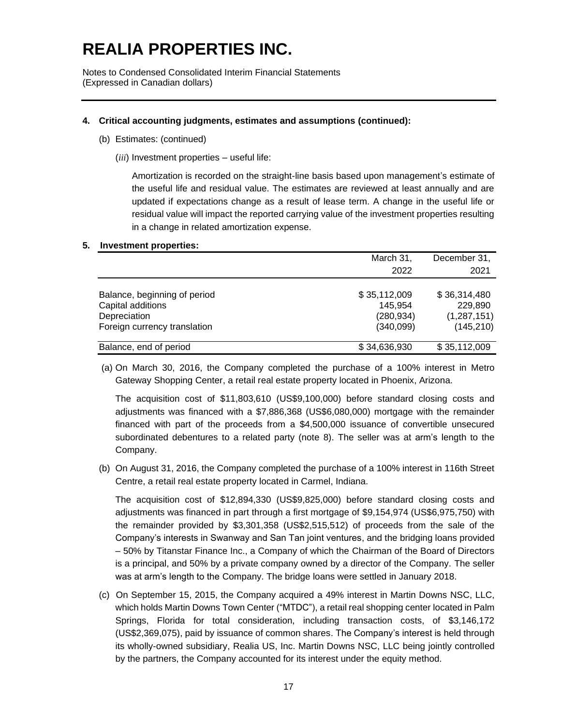Notes to Condensed Consolidated Interim Financial Statements (Expressed in Canadian dollars)

#### **4. Critical accounting judgments, estimates and assumptions (continued):**

- (b) Estimates: (continued)
	- (*iii*) Investment properties useful life:

Amortization is recorded on the straight-line basis based upon management's estimate of the useful life and residual value. The estimates are reviewed at least annually and are updated if expectations change as a result of lease term. A change in the useful life or residual value will impact the reported carrying value of the investment properties resulting in a change in related amortization expense.

#### **5. Investment properties:**

|                              | March 31,    | December 31,  |
|------------------------------|--------------|---------------|
|                              | 2022         | 2021          |
|                              |              |               |
| Balance, beginning of period | \$35,112,009 | \$36,314,480  |
| Capital additions            | 145,954      | 229,890       |
| Depreciation                 | (280,934)    | (1, 287, 151) |
| Foreign currency translation | (340,099)    | (145, 210)    |
| Balance, end of period       | \$34,636,930 | \$35,112,009  |

(a) On March 30, 2016, the Company completed the purchase of a 100% interest in Metro Gateway Shopping Center, a retail real estate property located in Phoenix, Arizona.

The acquisition cost of \$11,803,610 (US\$9,100,000) before standard closing costs and adjustments was financed with a \$7,886,368 (US\$6,080,000) mortgage with the remainder financed with part of the proceeds from a \$4,500,000 issuance of convertible unsecured subordinated debentures to a related party (note 8). The seller was at arm's length to the Company.

(b) On August 31, 2016, the Company completed the purchase of a 100% interest in 116th Street Centre, a retail real estate property located in Carmel, Indiana.

The acquisition cost of \$12,894,330 (US\$9,825,000) before standard closing costs and adjustments was financed in part through a first mortgage of \$9,154,974 (US\$6,975,750) with the remainder provided by \$3,301,358 (US\$2,515,512) of proceeds from the sale of the Company's interests in Swanway and San Tan joint ventures, and the bridging loans provided – 50% by Titanstar Finance Inc., a Company of which the Chairman of the Board of Directors is a principal, and 50% by a private company owned by a director of the Company. The seller was at arm's length to the Company. The bridge loans were settled in January 2018.

(c) On September 15, 2015, the Company acquired a 49% interest in Martin Downs NSC, LLC, which holds Martin Downs Town Center ("MTDC"), a retail real shopping center located in Palm Springs, Florida for total consideration, including transaction costs, of \$3,146,172 (US\$2,369,075), paid by issuance of common shares. The Company's interest is held through its wholly-owned subsidiary, Realia US, Inc. Martin Downs NSC, LLC being jointly controlled by the partners, the Company accounted for its interest under the equity method.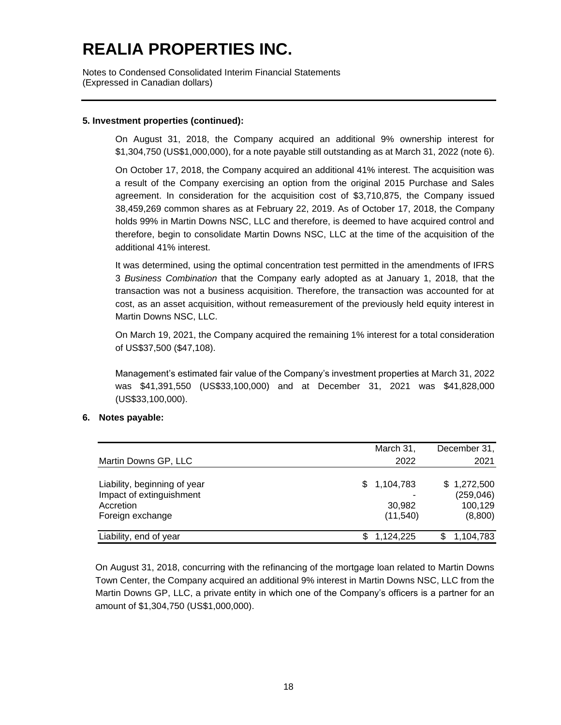Notes to Condensed Consolidated Interim Financial Statements (Expressed in Canadian dollars)

### **5. Investment properties (continued):**

On August 31, 2018, the Company acquired an additional 9% ownership interest for \$1,304,750 (US\$1,000,000), for a note payable still outstanding as at March 31, 2022 (note 6).

On October 17, 2018, the Company acquired an additional 41% interest. The acquisition was a result of the Company exercising an option from the original 2015 Purchase and Sales agreement. In consideration for the acquisition cost of \$3,710,875, the Company issued 38,459,269 common shares as at February 22, 2019. As of October 17, 2018, the Company holds 99% in Martin Downs NSC, LLC and therefore, is deemed to have acquired control and therefore, begin to consolidate Martin Downs NSC, LLC at the time of the acquisition of the additional 41% interest.

It was determined, using the optimal concentration test permitted in the amendments of IFRS 3 *Business Combination* that the Company early adopted as at January 1, 2018, that the transaction was not a business acquisition. Therefore, the transaction was accounted for at cost, as an asset acquisition, without remeasurement of the previously held equity interest in Martin Downs NSC, LLC.

On March 19, 2021, the Company acquired the remaining 1% interest for a total consideration of US\$37,500 (\$47,108).

Management's estimated fair value of the Company's investment properties at March 31, 2022 was \$41,391,550 (US\$33,100,000) and at December 31, 2021 was \$41,828,000 (US\$33,100,000).

#### **6. Notes payable:**

|                              | March 31,   | December 31, |
|------------------------------|-------------|--------------|
| Martin Downs GP, LLC         | 2022        | 2021         |
| Liability, beginning of year | \$1,104,783 | \$1,272,500  |
| Impact of extinguishment     |             | (259, 046)   |
| Accretion                    | 30.982      | 100,129      |
| Foreign exchange             | (11,540)    | (8,800)      |
| Liability, end of year       | 1,124,225   | 1,104,783    |

On August 31, 2018, concurring with the refinancing of the mortgage loan related to Martin Downs Town Center, the Company acquired an additional 9% interest in Martin Downs NSC, LLC from the Martin Downs GP, LLC, a private entity in which one of the Company's officers is a partner for an amount of \$1,304,750 (US\$1,000,000).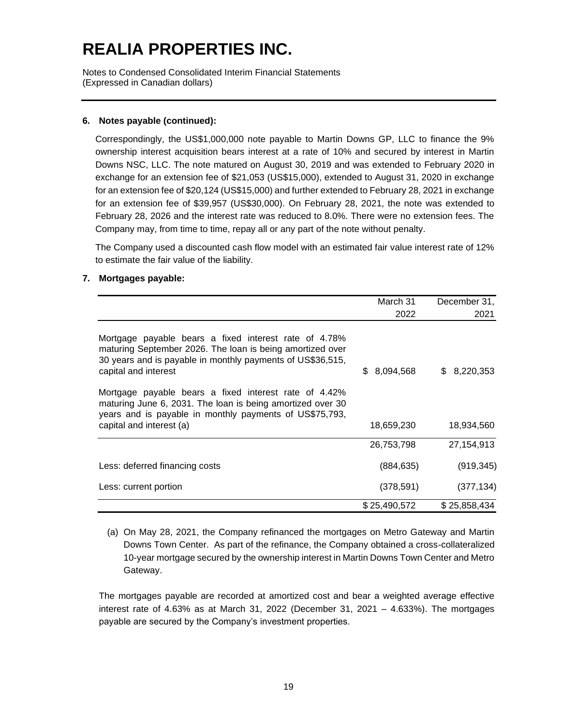Notes to Condensed Consolidated Interim Financial Statements (Expressed in Canadian dollars)

### **6. Notes payable (continued):**

Correspondingly, the US\$1,000,000 note payable to Martin Downs GP, LLC to finance the 9% ownership interest acquisition bears interest at a rate of 10% and secured by interest in Martin Downs NSC, LLC. The note matured on August 30, 2019 and was extended to February 2020 in exchange for an extension fee of \$21,053 (US\$15,000), extended to August 31, 2020 in exchange for an extension fee of \$20,124 (US\$15,000) and further extended to February 28, 2021 in exchange for an extension fee of \$39,957 (US\$30,000). On February 28, 2021, the note was extended to February 28, 2026 and the interest rate was reduced to 8.0%. There were no extension fees. The Company may, from time to time, repay all or any part of the note without penalty.

The Company used a discounted cash flow model with an estimated fair value interest rate of 12% to estimate the fair value of the liability.

### **7. Mortgages payable:**

|                                                                                                                                                                                                            | March 31         | December 31,     |
|------------------------------------------------------------------------------------------------------------------------------------------------------------------------------------------------------------|------------------|------------------|
|                                                                                                                                                                                                            | 2022             | 2021             |
| Mortgage payable bears a fixed interest rate of 4.78%<br>maturing September 2026. The loan is being amortized over<br>30 years and is payable in monthly payments of US\$36,515,<br>capital and interest   | 8,094,568<br>\$. | 8,220,353<br>\$. |
| Mortgage payable bears a fixed interest rate of 4.42%<br>maturing June 6, 2031. The loan is being amortized over 30<br>years and is payable in monthly payments of US\$75,793,<br>capital and interest (a) | 18,659,230       | 18,934,560       |
|                                                                                                                                                                                                            | 26,753,798       | 27,154,913       |
| Less: deferred financing costs                                                                                                                                                                             | (884, 635)       | (919, 345)       |
| Less: current portion                                                                                                                                                                                      | (378, 591)       | (377, 134)       |
|                                                                                                                                                                                                            | \$25,490,572     | \$25,858,434     |

(a) On May 28, 2021, the Company refinanced the mortgages on Metro Gateway and Martin Downs Town Center. As part of the refinance, the Company obtained a cross-collateralized 10-year mortgage secured by the ownership interest in Martin Downs Town Center and Metro Gateway.

The mortgages payable are recorded at amortized cost and bear a weighted average effective interest rate of 4.63% as at March 31, 2022 (December 31, 2021  $-$  4.633%). The mortgages payable are secured by the Company's investment properties.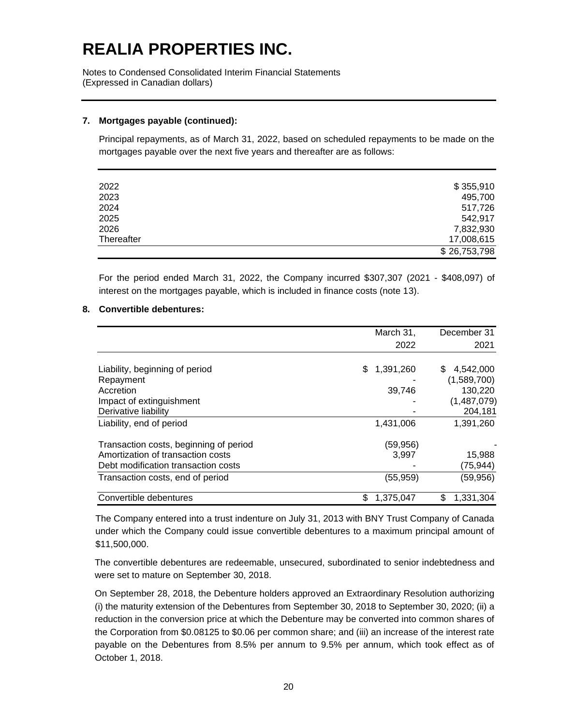Notes to Condensed Consolidated Interim Financial Statements (Expressed in Canadian dollars)

#### **7. Mortgages payable (continued):**

Principal repayments, as of March 31, 2022, based on scheduled repayments to be made on the mortgages payable over the next five years and thereafter are as follows:

| 2022       | \$355,910    |
|------------|--------------|
| 2023       | 495,700      |
| 2024       | 517,726      |
| 2025       | 542.917      |
| 2026       | 7,832,930    |
| Thereafter | 17,008,615   |
|            | \$26,753,798 |

For the period ended March 31, 2022, the Company incurred \$307,307 (2021 - \$408,097) of interest on the mortgages payable, which is included in finance costs (note 13).

### **8. Convertible debentures:**

|                                        | March 31,        | December 31     |
|----------------------------------------|------------------|-----------------|
|                                        | 2022             | 2021            |
|                                        |                  |                 |
| Liability, beginning of period         | 1,391,260<br>\$. | 4,542,000<br>S  |
| Repayment                              |                  | (1,589,700)     |
| Accretion                              | 39,746           | 130,220         |
| Impact of extinguishment               |                  | (1,487,079)     |
| Derivative liability                   |                  | 204,181         |
| Liability, end of period               | 1,431,006        | 1,391,260       |
| Transaction costs, beginning of period | (59,956)         |                 |
| Amortization of transaction costs      | 3.997            | 15,988          |
| Debt modification transaction costs    |                  | (75, 944)       |
| Transaction costs, end of period       | (55,959)         | (59, 956)       |
| Convertible debentures                 | \$<br>1,375,047  | \$<br>1,331,304 |

The Company entered into a trust indenture on July 31, 2013 with BNY Trust Company of Canada under which the Company could issue convertible debentures to a maximum principal amount of \$11,500,000.

The convertible debentures are redeemable, unsecured, subordinated to senior indebtedness and were set to mature on September 30, 2018.

On September 28, 2018, the Debenture holders approved an Extraordinary Resolution authorizing (i) the maturity extension of the Debentures from September 30, 2018 to September 30, 2020; (ii) a reduction in the conversion price at which the Debenture may be converted into common shares of the Corporation from \$0.08125 to \$0.06 per common share; and (iii) an increase of the interest rate payable on the Debentures from 8.5% per annum to 9.5% per annum, which took effect as of October 1, 2018.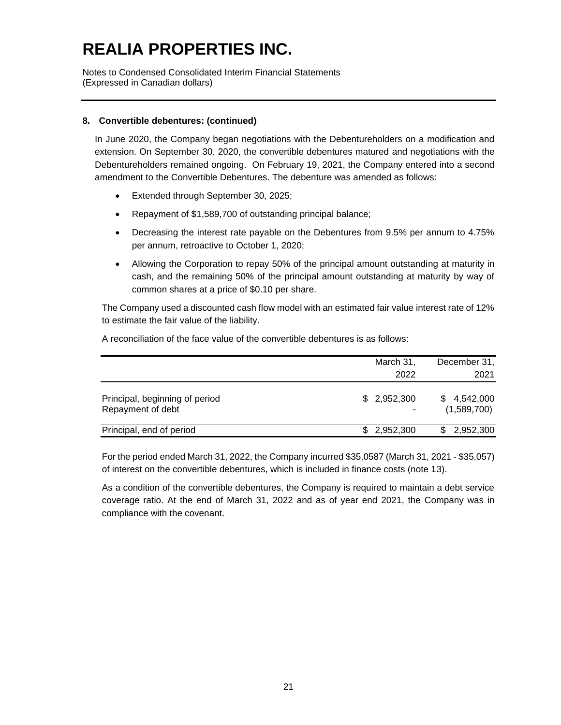Notes to Condensed Consolidated Interim Financial Statements (Expressed in Canadian dollars)

### **8. Convertible debentures: (continued)**

In June 2020, the Company began negotiations with the Debentureholders on a modification and extension. On September 30, 2020, the convertible debentures matured and negotiations with the Debentureholders remained ongoing. On February 19, 2021, the Company entered into a second amendment to the Convertible Debentures. The debenture was amended as follows:

- Extended through September 30, 2025;
- Repayment of \$1,589,700 of outstanding principal balance;
- Decreasing the interest rate payable on the Debentures from 9.5% per annum to 4.75% per annum, retroactive to October 1, 2020;
- Allowing the Corporation to repay 50% of the principal amount outstanding at maturity in cash, and the remaining 50% of the principal amount outstanding at maturity by way of common shares at a price of \$0.10 per share.

The Company used a discounted cash flow model with an estimated fair value interest rate of 12% to estimate the fair value of the liability.

A reconciliation of the face value of the convertible debentures is as follows:

|                                                     | March 31,<br>2022 | December 31,<br>2021       |
|-----------------------------------------------------|-------------------|----------------------------|
| Principal, beginning of period<br>Repayment of debt | \$2,952,300       | \$4,542,000<br>(1,589,700) |
| Principal, end of period                            | \$2,952,300       | \$2,952,300                |

For the period ended March 31, 2022, the Company incurred \$35,0587 (March 31, 2021 - \$35,057) of interest on the convertible debentures, which is included in finance costs (note 13).

As a condition of the convertible debentures, the Company is required to maintain a debt service coverage ratio. At the end of March 31, 2022 and as of year end 2021, the Company was in compliance with the covenant.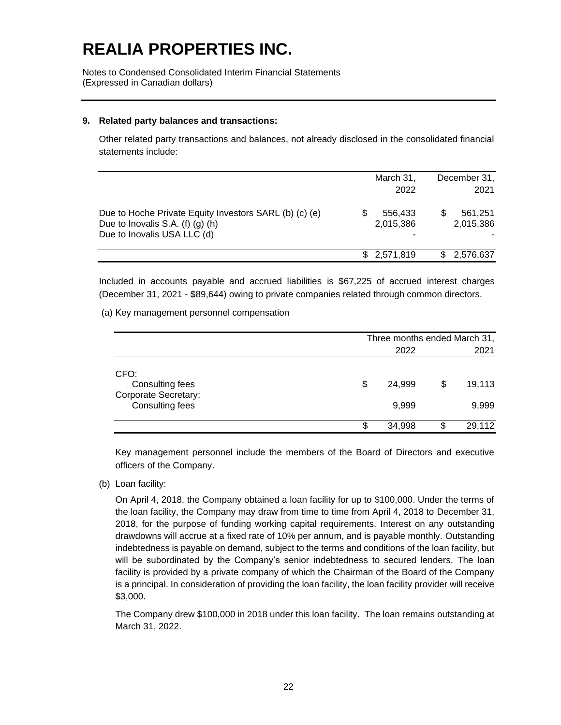Notes to Condensed Consolidated Interim Financial Statements (Expressed in Canadian dollars)

#### **9. Related party balances and transactions:**

Other related party transactions and balances, not already disclosed in the consolidated financial statements include:

|                                                                                                                           |     | March 31,<br>2022    | December 31,<br>2021 |
|---------------------------------------------------------------------------------------------------------------------------|-----|----------------------|----------------------|
| Due to Hoche Private Equity Investors SARL (b) (c) (e)<br>Due to Inovalis S.A. $(f)(g)(h)$<br>Due to Inovalis USA LLC (d) |     | 556,433<br>2,015,386 | 561.251<br>2,015,386 |
|                                                                                                                           | \$. | 2.571.819            | \$2,576,637          |

Included in accounts payable and accrued liabilities is \$67,225 of accrued interest charges (December 31, 2021 - \$89,644) owing to private companies related through common directors.

(a) Key management personnel compensation

|                                                                           | Three months ended March 31, |                 |    |                 |  |
|---------------------------------------------------------------------------|------------------------------|-----------------|----|-----------------|--|
|                                                                           | 2022                         |                 |    |                 |  |
| CFO:<br>Consulting fees<br><b>Corporate Secretary:</b><br>Consulting fees | \$                           | 24,999<br>9,999 | \$ | 19,113<br>9,999 |  |
|                                                                           | Œ                            | 34,998          | S  | 29,112          |  |

Key management personnel include the members of the Board of Directors and executive officers of the Company.

(b) Loan facility:

On April 4, 2018, the Company obtained a loan facility for up to \$100,000. Under the terms of the loan facility, the Company may draw from time to time from April 4, 2018 to December 31, 2018, for the purpose of funding working capital requirements. Interest on any outstanding drawdowns will accrue at a fixed rate of 10% per annum, and is payable monthly. Outstanding indebtedness is payable on demand, subject to the terms and conditions of the loan facility, but will be subordinated by the Company's senior indebtedness to secured lenders. The loan facility is provided by a private company of which the Chairman of the Board of the Company is a principal. In consideration of providing the loan facility, the loan facility provider will receive \$3,000.

The Company drew \$100,000 in 2018 under this loan facility. The loan remains outstanding at March 31, 2022.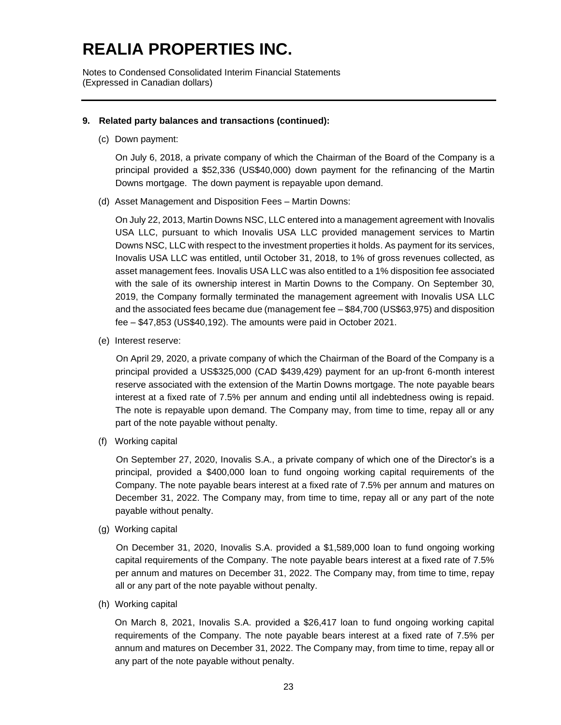Notes to Condensed Consolidated Interim Financial Statements (Expressed in Canadian dollars)

#### **9. Related party balances and transactions (continued):**

(c) Down payment:

On July 6, 2018, a private company of which the Chairman of the Board of the Company is a principal provided a \$52,336 (US\$40,000) down payment for the refinancing of the Martin Downs mortgage. The down payment is repayable upon demand.

(d) Asset Management and Disposition Fees – Martin Downs:

On July 22, 2013, Martin Downs NSC, LLC entered into a management agreement with Inovalis USA LLC, pursuant to which Inovalis USA LLC provided management services to Martin Downs NSC, LLC with respect to the investment properties it holds. As payment for its services, Inovalis USA LLC was entitled, until October 31, 2018, to 1% of gross revenues collected, as asset management fees. Inovalis USA LLC was also entitled to a 1% disposition fee associated with the sale of its ownership interest in Martin Downs to the Company. On September 30, 2019, the Company formally terminated the management agreement with Inovalis USA LLC and the associated fees became due (management fee – \$84,700 (US\$63,975) and disposition fee – \$47,853 (US\$40,192). The amounts were paid in October 2021.

(e) Interest reserve:

On April 29, 2020, a private company of which the Chairman of the Board of the Company is a principal provided a US\$325,000 (CAD \$439,429) payment for an up-front 6-month interest reserve associated with the extension of the Martin Downs mortgage. The note payable bears interest at a fixed rate of 7.5% per annum and ending until all indebtedness owing is repaid. The note is repayable upon demand. The Company may, from time to time, repay all or any part of the note payable without penalty.

(f) Working capital

On September 27, 2020, Inovalis S.A., a private company of which one of the Director's is a principal, provided a \$400,000 loan to fund ongoing working capital requirements of the Company. The note payable bears interest at a fixed rate of 7.5% per annum and matures on December 31, 2022. The Company may, from time to time, repay all or any part of the note payable without penalty.

(g) Working capital

On December 31, 2020, Inovalis S.A. provided a \$1,589,000 loan to fund ongoing working capital requirements of the Company. The note payable bears interest at a fixed rate of 7.5% per annum and matures on December 31, 2022. The Company may, from time to time, repay all or any part of the note payable without penalty.

(h) Working capital

On March 8, 2021, Inovalis S.A. provided a \$26,417 loan to fund ongoing working capital requirements of the Company. The note payable bears interest at a fixed rate of 7.5% per annum and matures on December 31, 2022. The Company may, from time to time, repay all or any part of the note payable without penalty.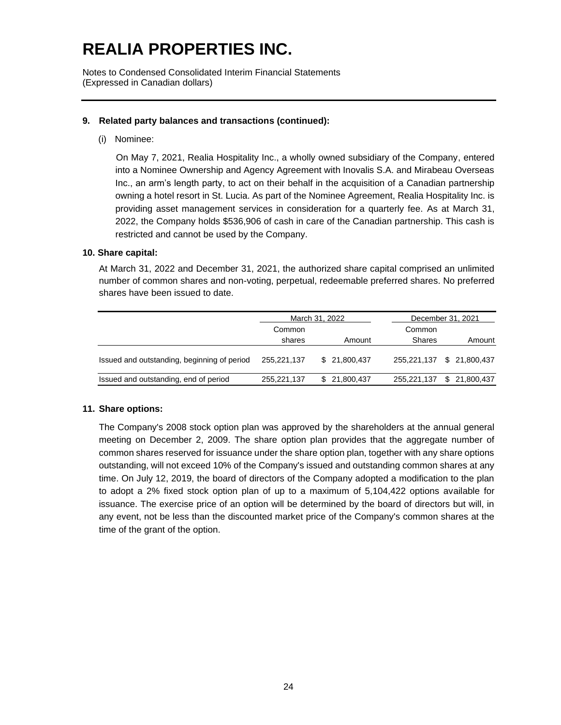Notes to Condensed Consolidated Interim Financial Statements (Expressed in Canadian dollars)

### **9. Related party balances and transactions (continued):**

(i) Nominee:

On May 7, 2021, Realia Hospitality Inc., a wholly owned subsidiary of the Company, entered into a Nominee Ownership and Agency Agreement with Inovalis S.A. and Mirabeau Overseas Inc., an arm's length party, to act on their behalf in the acquisition of a Canadian partnership owning a hotel resort in St. Lucia. As part of the Nominee Agreement, Realia Hospitality Inc. is providing asset management services in consideration for a quarterly fee. As at March 31, 2022, the Company holds \$536,906 of cash in care of the Canadian partnership. This cash is restricted and cannot be used by the Company.

### **10. Share capital:**

At March 31, 2022 and December 31, 2021, the authorized share capital comprised an unlimited number of common shares and non-voting, perpetual, redeemable preferred shares. No preferred shares have been issued to date.

|                                             |             | March 31, 2022    | December 31, 2021         |               |  |
|---------------------------------------------|-------------|-------------------|---------------------------|---------------|--|
|                                             | Common      |                   | Common                    |               |  |
|                                             | shares      | Amount            | Shares                    | Amount        |  |
| Issued and outstanding, beginning of period | 255,221,137 | \$ 21,800,437     | 255,221,137 \$ 21,800,437 |               |  |
| Issued and outstanding, end of period       | 255,221,137 | 21,800,437<br>\$. | 255,221,137               | \$ 21,800,437 |  |

#### **11. Share options:**

The Company's 2008 stock option plan was approved by the shareholders at the annual general meeting on December 2, 2009. The share option plan provides that the aggregate number of common shares reserved for issuance under the share option plan, together with any share options outstanding, will not exceed 10% of the Company's issued and outstanding common shares at any time. On July 12, 2019, the board of directors of the Company adopted a modification to the plan to adopt a 2% fixed stock option plan of up to a maximum of 5,104,422 options available for issuance. The exercise price of an option will be determined by the board of directors but will, in any event, not be less than the discounted market price of the Company's common shares at the time of the grant of the option.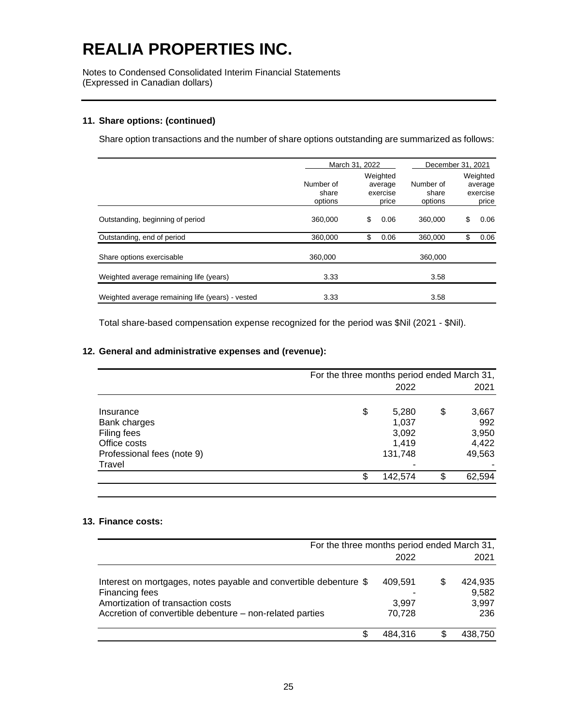Notes to Condensed Consolidated Interim Financial Statements (Expressed in Canadian dollars)

#### **11. Share options: (continued)**

Share option transactions and the number of share options outstanding are summarized as follows:

|                                                  | March 31, 2022                | December 31, 2021                        |                               |    |                                          |
|--------------------------------------------------|-------------------------------|------------------------------------------|-------------------------------|----|------------------------------------------|
|                                                  | Number of<br>share<br>options | Weighted<br>average<br>exercise<br>price | Number of<br>share<br>options |    | Weighted<br>average<br>exercise<br>price |
| Outstanding, beginning of period                 | 360,000                       | \$<br>0.06                               | 360,000                       | S  | 0.06                                     |
| Outstanding, end of period                       | 360,000                       | \$<br>0.06                               | 360,000                       | \$ | 0.06                                     |
| Share options exercisable                        | 360,000                       |                                          | 360,000                       |    |                                          |
| Weighted average remaining life (years)          | 3.33                          |                                          | 3.58                          |    |                                          |
| Weighted average remaining life (years) - vested | 3.33                          |                                          | 3.58                          |    |                                          |

Total share-based compensation expense recognized for the period was \$Nil (2021 - \$Nil).

### **12. General and administrative expenses and (revenue):**

|                            | For the three months period ended March 31, |         |    |        |
|----------------------------|---------------------------------------------|---------|----|--------|
|                            |                                             | 2022    |    | 2021   |
| Insurance                  | \$                                          | 5,280   | \$ | 3,667  |
| Bank charges               |                                             | 1,037   |    | 992    |
| Filing fees                |                                             | 3,092   |    | 3,950  |
| Office costs               |                                             | 1,419   |    | 4,422  |
| Professional fees (note 9) |                                             | 131,748 |    | 49,563 |
| Travel                     |                                             |         |    |        |
|                            | \$                                          | 142,574 | S  | 62,594 |

### **13. Finance costs:**

|                                                                                                                                                                                      | For the three months period ended March 31, |     |                                  |  |
|--------------------------------------------------------------------------------------------------------------------------------------------------------------------------------------|---------------------------------------------|-----|----------------------------------|--|
|                                                                                                                                                                                      | 2022                                        |     | 2021                             |  |
| Interest on mortgages, notes payable and convertible debenture \$<br>Financing fees<br>Amortization of transaction costs<br>Accretion of convertible debenture – non-related parties | 409,591<br>3,997<br>70,728                  | \$. | 424,935<br>9,582<br>3,997<br>236 |  |
| S                                                                                                                                                                                    | 484.316                                     |     | 438,750                          |  |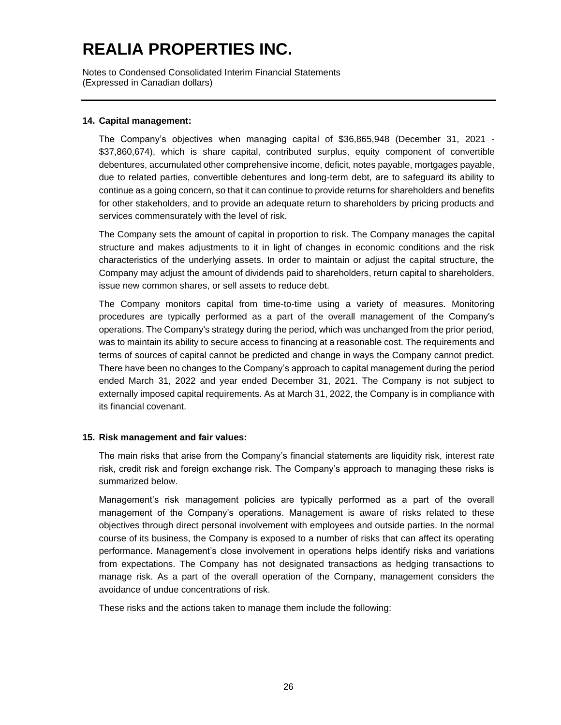Notes to Condensed Consolidated Interim Financial Statements (Expressed in Canadian dollars)

### **14. Capital management:**

The Company's objectives when managing capital of \$36,865,948 (December 31, 2021 - \$37,860,674), which is share capital, contributed surplus, equity component of convertible debentures, accumulated other comprehensive income, deficit, notes payable, mortgages payable, due to related parties, convertible debentures and long-term debt, are to safeguard its ability to continue as a going concern, so that it can continue to provide returns for shareholders and benefits for other stakeholders, and to provide an adequate return to shareholders by pricing products and services commensurately with the level of risk.

The Company sets the amount of capital in proportion to risk. The Company manages the capital structure and makes adjustments to it in light of changes in economic conditions and the risk characteristics of the underlying assets. In order to maintain or adjust the capital structure, the Company may adjust the amount of dividends paid to shareholders, return capital to shareholders, issue new common shares, or sell assets to reduce debt.

The Company monitors capital from time-to-time using a variety of measures. Monitoring procedures are typically performed as a part of the overall management of the Company's operations. The Company's strategy during the period, which was unchanged from the prior period, was to maintain its ability to secure access to financing at a reasonable cost. The requirements and terms of sources of capital cannot be predicted and change in ways the Company cannot predict. There have been no changes to the Company's approach to capital management during the period ended March 31, 2022 and year ended December 31, 2021. The Company is not subject to externally imposed capital requirements. As at March 31, 2022, the Company is in compliance with its financial covenant.

### **15. Risk management and fair values:**

The main risks that arise from the Company's financial statements are liquidity risk, interest rate risk, credit risk and foreign exchange risk. The Company's approach to managing these risks is summarized below.

Management's risk management policies are typically performed as a part of the overall management of the Company's operations. Management is aware of risks related to these objectives through direct personal involvement with employees and outside parties. In the normal course of its business, the Company is exposed to a number of risks that can affect its operating performance. Management's close involvement in operations helps identify risks and variations from expectations. The Company has not designated transactions as hedging transactions to manage risk. As a part of the overall operation of the Company, management considers the avoidance of undue concentrations of risk.

These risks and the actions taken to manage them include the following: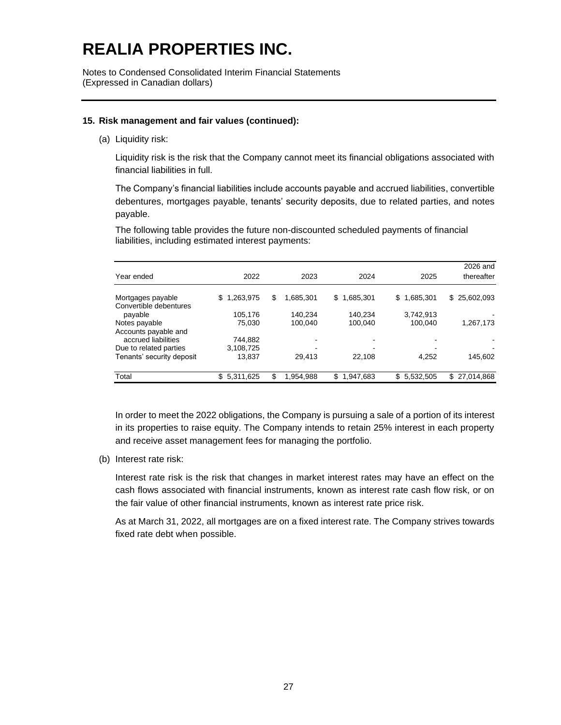Notes to Condensed Consolidated Interim Financial Statements (Expressed in Canadian dollars)

#### **15. Risk management and fair values (continued):**

(a) Liquidity risk:

Liquidity risk is the risk that the Company cannot meet its financial obligations associated with financial liabilities in full.

The Company's financial liabilities include accounts payable and accrued liabilities, convertible debentures, mortgages payable, tenants' security deposits, due to related parties, and notes payable.

The following table provides the future non-discounted scheduled payments of financial liabilities, including estimated interest payments:

|                           |                  |   |           |                |                 | 2026 and          |
|---------------------------|------------------|---|-----------|----------------|-----------------|-------------------|
| Year ended                | 2022             |   | 2023      | 2024           | 2025            | thereafter        |
| Mortgages payable         | 1,263,975<br>S.  | S | 1.685.301 | 1,685,301<br>S | 1,685,301<br>\$ | \$25,602,093      |
| Convertible debentures    |                  |   |           |                |                 |                   |
| payable                   | 105,176          |   | 140,234   | 140.234        | 3,742,913       |                   |
| Notes payable             | 75,030           |   | 100.040   | 100,040        | 100,040         | 1,267,173         |
| Accounts payable and      |                  |   |           |                |                 |                   |
| accrued liabilities       | 744,882          |   |           |                |                 |                   |
| Due to related parties    | 3,108,725        |   |           |                |                 |                   |
| Tenants' security deposit | 13,837           |   | 29.413    | 22,108         | 4,252           | 145,602           |
| Total                     | \$.<br>5,311,625 |   | 1,954,988 | S<br>1,947,683 | \$5,532,505     | 27,014,868<br>\$. |

In order to meet the 2022 obligations, the Company is pursuing a sale of a portion of its interest in its properties to raise equity. The Company intends to retain 25% interest in each property and receive asset management fees for managing the portfolio.

(b) Interest rate risk:

Interest rate risk is the risk that changes in market interest rates may have an effect on the cash flows associated with financial instruments, known as interest rate cash flow risk, or on the fair value of other financial instruments, known as interest rate price risk.

As at March 31, 2022, all mortgages are on a fixed interest rate. The Company strives towards fixed rate debt when possible.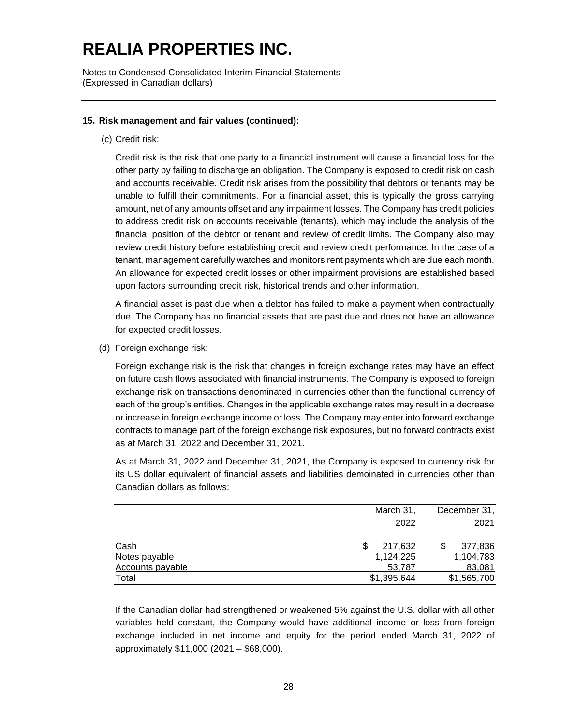Notes to Condensed Consolidated Interim Financial Statements (Expressed in Canadian dollars)

### **15. Risk management and fair values (continued):**

(c) Credit risk:

Credit risk is the risk that one party to a financial instrument will cause a financial loss for the other party by failing to discharge an obligation. The Company is exposed to credit risk on cash and accounts receivable. Credit risk arises from the possibility that debtors or tenants may be unable to fulfill their commitments. For a financial asset, this is typically the gross carrying amount, net of any amounts offset and any impairment losses. The Company has credit policies to address credit risk on accounts receivable (tenants), which may include the analysis of the financial position of the debtor or tenant and review of credit limits. The Company also may review credit history before establishing credit and review credit performance. In the case of a tenant, management carefully watches and monitors rent payments which are due each month. An allowance for expected credit losses or other impairment provisions are established based upon factors surrounding credit risk, historical trends and other information.

A financial asset is past due when a debtor has failed to make a payment when contractually due. The Company has no financial assets that are past due and does not have an allowance for expected credit losses.

(d) Foreign exchange risk:

Foreign exchange risk is the risk that changes in foreign exchange rates may have an effect on future cash flows associated with financial instruments. The Company is exposed to foreign exchange risk on transactions denominated in currencies other than the functional currency of each of the group's entities. Changes in the applicable exchange rates may result in a decrease or increase in foreign exchange income or loss. The Company may enter into forward exchange contracts to manage part of the foreign exchange risk exposures, but no forward contracts exist as at March 31, 2022 and December 31, 2021.

As at March 31, 2022 and December 31, 2021, the Company is exposed to currency risk for its US dollar equivalent of financial assets and liabilities demoinated in currencies other than Canadian dollars as follows:

|                  | March 31,   | December 31, |
|------------------|-------------|--------------|
|                  | 2022        | 2021         |
| Cash             | 217,632     | 377,836      |
| Notes payable    | 1,124,225   | 1,104,783    |
| Accounts payable | 53,787      | 83,081       |
| Total            | \$1,395,644 | \$1,565,700  |

If the Canadian dollar had strengthened or weakened 5% against the U.S. dollar with all other variables held constant, the Company would have additional income or loss from foreign exchange included in net income and equity for the period ended March 31, 2022 of approximately \$11,000 (2021 – \$68,000).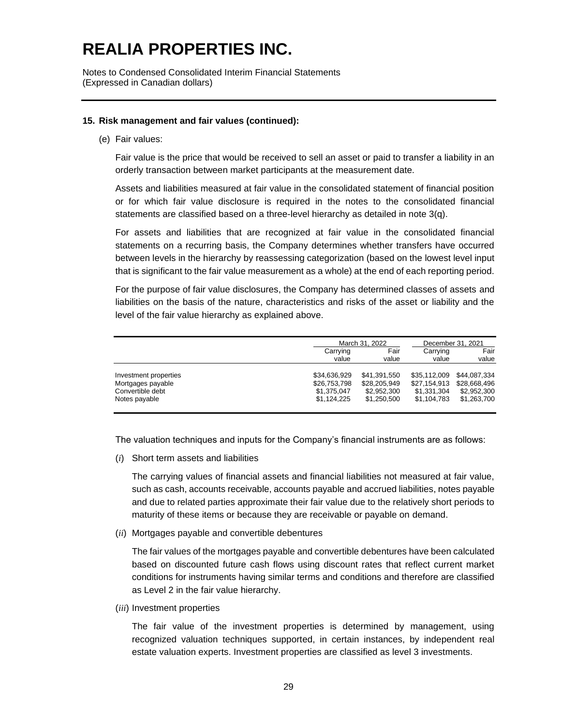Notes to Condensed Consolidated Interim Financial Statements (Expressed in Canadian dollars)

#### **15. Risk management and fair values (continued):**

(e) Fair values:

Fair value is the price that would be received to sell an asset or paid to transfer a liability in an orderly transaction between market participants at the measurement date.

Assets and liabilities measured at fair value in the consolidated statement of financial position or for which fair value disclosure is required in the notes to the consolidated financial statements are classified based on a three-level hierarchy as detailed in note 3(q).

For assets and liabilities that are recognized at fair value in the consolidated financial statements on a recurring basis, the Company determines whether transfers have occurred between levels in the hierarchy by reassessing categorization (based on the lowest level input that is significant to the fair value measurement as a whole) at the end of each reporting period.

For the purpose of fair value disclosures, the Company has determined classes of assets and liabilities on the basis of the nature, characteristics and risks of the asset or liability and the level of the fair value hierarchy as explained above.

|                       |              | March 31, 2022 |              | December 31, 2021 |  |  |
|-----------------------|--------------|----------------|--------------|-------------------|--|--|
|                       | Carrying     | Fair           | Carrying     | Fair              |  |  |
|                       | value        | value          | value        | value             |  |  |
| Investment properties | \$34.636.929 | \$41.391.550   | \$35.112.009 | \$44.087.334      |  |  |
| Mortgages payable     | \$26,753,798 | \$28,205,949   | \$27,154,913 | \$28.668.496      |  |  |
| Convertible debt      | \$1.375.047  | \$2.952.300    | \$1.331.304  | \$2.952.300       |  |  |
| Notes payable         | \$1.124.225  | \$1,250,500    | \$1,104,783  | \$1,263,700       |  |  |

The valuation techniques and inputs for the Company's financial instruments are as follows:

(*i*) Short term assets and liabilities

The carrying values of financial assets and financial liabilities not measured at fair value, such as cash, accounts receivable, accounts payable and accrued liabilities, notes payable and due to related parties approximate their fair value due to the relatively short periods to maturity of these items or because they are receivable or payable on demand.

(*ii*) Mortgages payable and convertible debentures

The fair values of the mortgages payable and convertible debentures have been calculated based on discounted future cash flows using discount rates that reflect current market conditions for instruments having similar terms and conditions and therefore are classified as Level 2 in the fair value hierarchy.

(*iii*) Investment properties

The fair value of the investment properties is determined by management, using recognized valuation techniques supported, in certain instances, by independent real estate valuation experts. Investment properties are classified as level 3 investments.